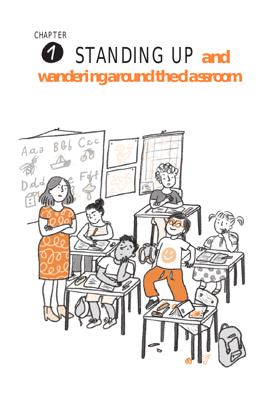# **CHAPTER** STANDING UP *and* 1 *wandering around the cla ssroom*

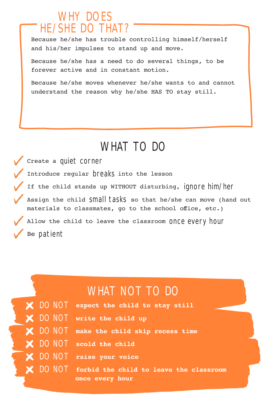# WHY DOES HE/SHE DO THAT?

Because he/she has trouble controlling himself/herself and his/her impulses to stand up and move.

Because he/she has a need to do several things, to be forever active and in constant motion.

Because he/she moves whenever he/she wants to and cannot understand the reason why he/she HAS TO stay still.

# WHAT TO DO

Create a quiet corner Introduce regular breaks into the lesson If the child stands up WITHOUT disturbing, ignore him/her Assign the child Small tasks so that he/she can move (hand out materials to classmates, go to the school office, etc.) Allow the child to leave the classroom once every hour Be patient

|  | WHAT NOT TO DO                                   |
|--|--------------------------------------------------|
|  | X DO NOT expect the child to stay still          |
|  | X DO NOT write the child up                      |
|  | X DO NOT make the child skip recess time         |
|  | X DO NOT scold the child                         |
|  | X DO NOT raise your voice                        |
|  | X DO NOT forbid the child to leave the classroom |
|  | once every hour                                  |
|  |                                                  |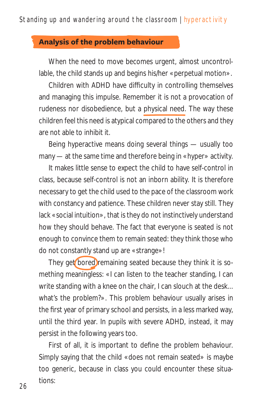#### **Analysis of the problem behaviour**

When the need to move becomes urgent, almost uncontrollable, the child stands up and begins his/her «perpetual motion».

Children with ADHD have di culty in controlling themselves and managing this impulse. Remember it is not a provocation of rudeness nor disobedience, but a physical need. The way these children feel this need is atypical compared to the others and they are not able to inhibit it.

Being hyperactive means doing several things — usually too many — at the same time and therefore being in «hyper» activity.

It makes little sense to expect the child to have self-control in class, because self-control is not an inborn ability. It is therefore necessary to get the child used to the pace of the classroom work with constancy and patience. These children never stay still. They lack «social intuition», that is they do not instinctively understand how they should behave. The fact that everyone is seated is not enough to convince them to remain seated: they think those who do not constantly stand up are «strange»!

They get bored remaining seated because they think it is something meaningless: «I can listen to the teacher standing, I can write standing with a knee on the chair, I can slouch at the desk... what's the problem?». This problem behaviour usually arises in the first year of primary school and persists, in a less marked way, until the third year. In pupils with severe ADHD, instead, it may persist in the following years too.

First of all, it is important to define the problem behaviour. Simply saying that the child «does not remain seated» is maybe too generic, because in class you could encounter these situations: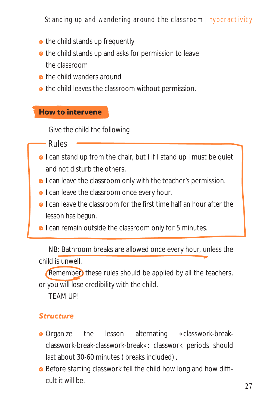## Standing up and wandering around the classroom | hyperactivity

- the child stands up frequently
- the child stands up and asks for permission to leave the classroom
- **a** the child wanders around
- $\bullet$  the child leaves the classroom without permission.

#### **How to intervene**

Give the child the following

#### Rules

- **I** can stand up from the chair, but I if I stand up I must be quiet and not disturb the others.
- **•** I can leave the classroom only with the teacher's permission.
- **I** can leave the classroom once every hour.
- **O** I can leave the classroom for the first time half an hour after the lesson has begun.
- **•** I can remain outside the classroom only for 5 minutes.

NB: Bathroom breaks are allowed once every hour, unless the child is unwell.

(Remember) these rules should be applied by all the teachers, or you will lose credibility with the child.

TEAM UP!

#### *Structure*

- **•** Organize the lesson alternating «classwork-breakclasswork-break-classwork-break»: classwork periods should last about 30-60 minutes (breaks included).
- Before starting classwork tell the child how long and how dicult it will be.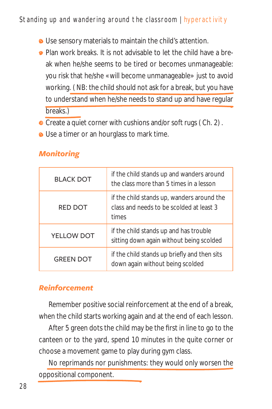## Standing up and wandering around the classroom | hyperactivity

- **•** Use sensory materials to maintain the child's attention.
- **•** Plan work breaks. It is not advisable to let the child have a break when he/she seems to be tired or becomes unmanageable: you risk that he/she «will become unmanageable» just to avoid working. (NB: the child should not ask for a break, but you have to understand when he/she needs to stand up and have regular breaks.)
- Create a quiet corner with cushions and/or soft rugs (Ch. 2).
- **•** Use a timer or an hourglass to mark time.

| <b>BLACK DOT</b> | if the child stands up and wanders around<br>the class more than 5 times in a lesson            |
|------------------|-------------------------------------------------------------------------------------------------|
| <b>RED DOT</b>   | if the child stands up, wanders around the<br>class and needs to be scolded at least 3<br>times |
| YELLOW DOT       | if the child stands up and has trouble<br>sitting down again without being scolded              |
| <b>GREEN DOT</b> | if the child stands up briefly and then sits<br>down again without being scolded                |

# *Monitoring*

### *Reinforcement*

Remember positive social reinforcement at the end of a break, when the child starts working again and at the end of each lesson.

After 5 green dots the child may be the first in line to go to the canteen or to the yard, spend 10 minutes in the quite corner or choose a movement game to play during gym class.

No reprimands nor punishments: they would only worsen the oppositional component.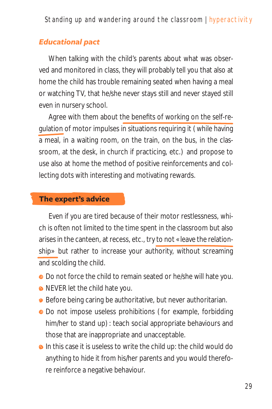#### *Educational pact*

When talking with the child's parents about what was observed and monitored in class, they will probably tell you that also at home the child has trouble remaining seated when having a meal or watching TV, that he/she never stays still and never stayed still even in nursery school.

Agree with them about the benefits of working on the self-regulation of motor impulses in situations requiring it (while having a meal, in a waiting room, on the train, on the bus, in the classroom, at the desk, in church if practicing, etc.) and propose to use also at home the method of positive reinforcements and collecting dots with interesting and motivating rewards.

#### **The expert's advice**

Even if you are tired because of their motor restlessness, which is often not limited to the time spent in the classroom but also arises in the canteen, at recess, etc., try to not «leave the relationship» but rather to increase your authority, without screaming and scolding the child.

- $\bullet$  Do not force the child to remain seated or he/she will hate you.
- NEVER let the child hate you.
- Before being caring be authoritative, but never authoritarian.
- Do not impose useless prohibitions (for example, forbidding him/her to stand up): teach social appropriate behaviours and those that are inappropriate and unacceptable.
- **o** In this case it is useless to write the child up: the child would do anything to hide it from his/her parents and you would therefore reinforce a negative behaviour.